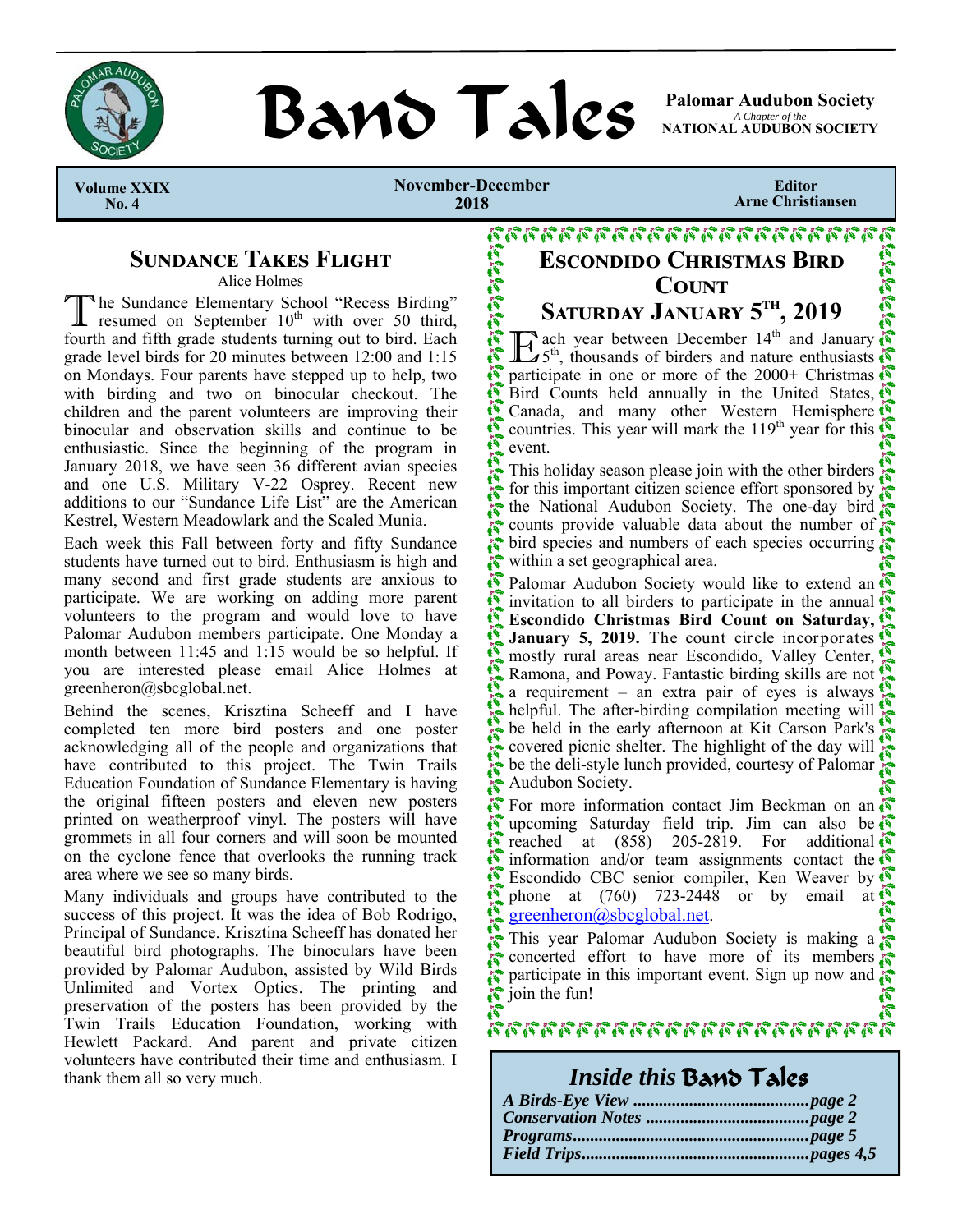

# **BAND TAILS** Palomar Audubon Society

*A Chapter of the*  **NATIONAL AUDUBON SOCIETY** 

 **Volume XXIX No. 4** 

**November-December 2018** 

いいご

**Editor Arne Christiansen** 

## **SUNDANCE TAKES FLIGHT**

Alice Holmes

The Sundance Elementary School "Recess Birding" resumed on September 10<sup>th</sup> with over 50 third, fourth and fifth grade students turning out to bird. Each grade level birds for 20 minutes between 12:00 and 1:15 on Mondays. Four parents have stepped up to help, two with birding and two on binocular checkout. The children and the parent volunteers are improving their binocular and observation skills and continue to be enthusiastic. Since the beginning of the program in January 2018, we have seen 36 different avian species and one U.S. Military V-22 Osprey. Recent new additions to our "Sundance Life List" are the American Kestrel, Western Meadowlark and the Scaled Munia.

Each week this Fall between forty and fifty Sundance students have turned out to bird. Enthusiasm is high and many second and first grade students are anxious to participate. We are working on adding more parent volunteers to the program and would love to have Palomar Audubon members participate. One Monday a month between 11:45 and 1:15 would be so helpful. If you are interested please email Alice Holmes at greenheron@sbcglobal.net.

Behind the scenes, Krisztina Scheeff and I have completed ten more bird posters and one poster acknowledging all of the people and organizations that have contributed to this project. The Twin Trails Education Foundation of Sundance Elementary is having the original fifteen posters and eleven new posters printed on weatherproof vinyl. The posters will have grommets in all four corners and will soon be mounted on the cyclone fence that overlooks the running track area where we see so many birds.

Many individuals and groups have contributed to the success of this project. It was the idea of Bob Rodrigo, Principal of Sundance. Krisztina Scheeff has donated her beautiful bird photographs. The binoculars have been provided by Palomar Audubon, assisted by Wild Birds Unlimited and Vortex Optics. The printing and preservation of the posters has been provided by the Twin Trails Education Foundation, working with Hewlett Packard. And parent and private citizen volunteers have contributed their time and enthusiasm. I thank them all so very much.

# **ESCONDIDO CHRISTMAS BIRD**  $C$ **OUNT** Saturday January 5<sup>th</sup>, 2019

 $\mathbf{E}_{5}^{\text{th}}$ , thousands of birders and nature enthusiasts EFR. participate in one or more of the  $2000+$  Christmas Bird Counts held annually in the United States, Canada, and many other Western Hemisphere countries. This year will mark the  $119<sup>th</sup>$  year for this  $\ddot{\mathbb{S}}$ event.

This holiday season please join with the other birders for this important citizen science effort sponsored by  $\ddot{i}$ the National Audubon Society. The one-day bird counts provide valuable data about the number of Ñ  $\mathbf{z}$ bird species and numbers of each species occurring Ñ within a set geographical area.

ミミッシュ Palomar Audubon Society would like to extend an invitation to all birders to participate in the annual **Escondido Christmas Bird Count on Saturday, January 5, 2019.** The count circle incorporates A mostly rural areas near Escondido, Valley Center, Ramona, and Poway. Fantastic birding skills are not a requirement – an extra pair of eyes is always helpful. The after-birding compilation meeting will be held in the early afternoon at Kit Carson Park's covered picnic shelter. The highlight of the day will Ã be the deli-style lunch provided, courtesy of Palomar Audubon Society.  $\tilde{\mathbf{r}}$ 

Ñ For more information contact Jim Beckman on an ñ upcoming Saturday field trip. Jim can also be  $\mathbb{R}^2$ ñ reached at  $(858)$  205-2819. For additional information and/or team assignments contact the N Escondido CBC senior compiler, Ken Weaver by phone at (760) 723-2448 or by email at greenheron@sbcglobal.net.

This year Palomar Audubon Society is making a **Colora** concerted effort to have more of its members participate in this important event. Sign up now and join the fun!

88888888888888888888888

*Inside this* Band Tales

| Thome this party Laiss |  |
|------------------------|--|
|                        |  |
|                        |  |
|                        |  |
|                        |  |
|                        |  |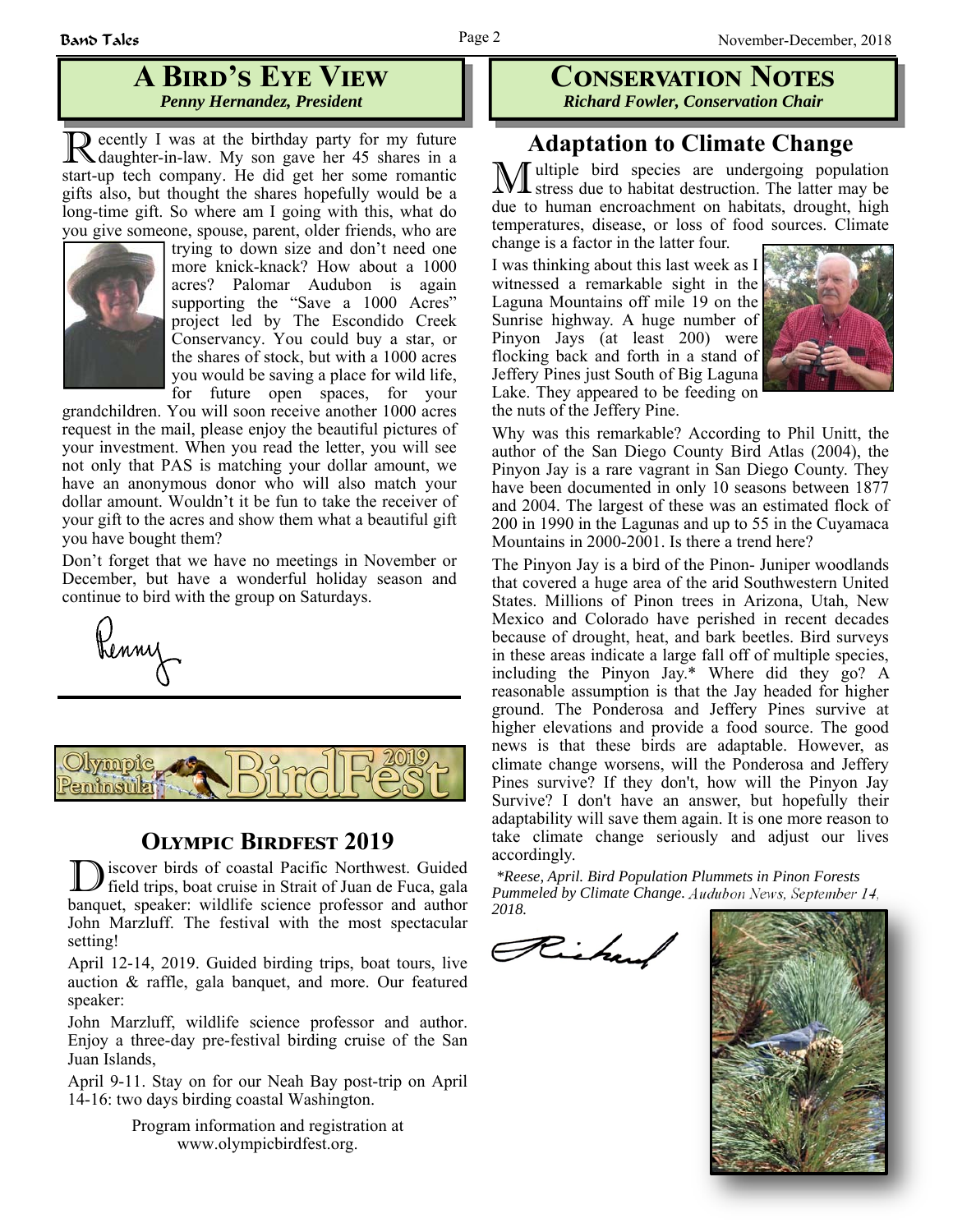## **A BIRD'S EYE VIEW** *Penny Hernandez, President*

R ecently I was at the birthday party for my future daughter-in-law. My son gave her 45 shares in a start-up tech company. He did get her some romantic gifts also, but thought the shares hopefully would be a long-time gift. So where am I going with this, what do you give someone, spouse, parent, older friends, who are



trying to down size and don't need one more knick-knack? How about a 1000 acres? Palomar Audubon is again supporting the "Save a 1000 Acres" project led by The Escondido Creek Conservancy. You could buy a star, or the shares of stock, but with a 1000 acres you would be saving a place for wild life, for future open spaces, for your

grandchildren. You will soon receive another 1000 acres request in the mail, please enjoy the beautiful pictures of your investment. When you read the letter, you will see not only that PAS is matching your dollar amount, we have an anonymous donor who will also match your dollar amount. Wouldn't it be fun to take the receiver of your gift to the acres and show them what a beautiful gift you have bought them?

Don't forget that we have no meetings in November or December, but have a wonderful holiday season and continue to bird with the group on Saturdays.





## **OLYMPIC BIRDFEST 2019**

iscover birds of coastal Pacific Northwest. Guided field trips, boat cruise in Strait of Juan de Fuca, gala banquet, speaker: wildlife science professor and author John Marzluff. The festival with the most spectacular setting!

April 12-14, 2019. Guided birding trips, boat tours, live auction & raffle, gala banquet, and more. Our featured speaker:

John Marzluff, wildlife science professor and author. Enjoy a three-day pre-festival birding cruise of the San Juan Islands,

April 9-11. Stay on for our Neah Bay post-trip on April 14-16: two days birding coastal Washington.

> Program information and registration at www.olympicbirdfest.org.

## **CONSERVATION NOTES** *Richard Fowler, Conservation Chair*

## **Adaptation to Climate Change**

Iultiple bird species are undergoing population stress due to habitat destruction. The latter may be due to human encroachment on habitats, drought, high temperatures, disease, or loss of food sources. Climate change is a factor in the latter four.

I was thinking about this last week as I witnessed a remarkable sight in the Laguna Mountains off mile 19 on the Sunrise highway. A huge number of Pinyon Jays (at least 200) were flocking back and forth in a stand of Jeffery Pines just South of Big Laguna Lake. They appeared to be feeding on the nuts of the Jeffery Pine.



Why was this remarkable? According to Phil Unitt, the author of the San Diego County Bird Atlas (2004), the Pinyon Jay is a rare vagrant in San Diego County. They have been documented in only 10 seasons between 1877 and 2004. The largest of these was an estimated flock of 200 in 1990 in the Lagunas and up to 55 in the Cuyamaca Mountains in 2000-2001. Is there a trend here?

The Pinyon Jay is a bird of the Pinon- Juniper woodlands that covered a huge area of the arid Southwestern United States. Millions of Pinon trees in Arizona, Utah, New Mexico and Colorado have perished in recent decades because of drought, heat, and bark beetles. Bird surveys in these areas indicate a large fall off of multiple species, including the Pinyon Jay.\* Where did they go? A reasonable assumption is that the Jay headed for higher ground. The Ponderosa and Jeffery Pines survive at higher elevations and provide a food source. The good news is that these birds are adaptable. However, as climate change worsens, will the Ponderosa and Jeffery Pines survive? If they don't, how will the Pinyon Jay Survive? I don't have an answer, but hopefully their adaptability will save them again. It is one more reason to take climate change seriously and adjust our lives accordingly.

*\*Reese, April. Bird Population Plummets in Pinon Forests Pummeled by Climate Change. Audubon News, September 14, 2018.*

Richard

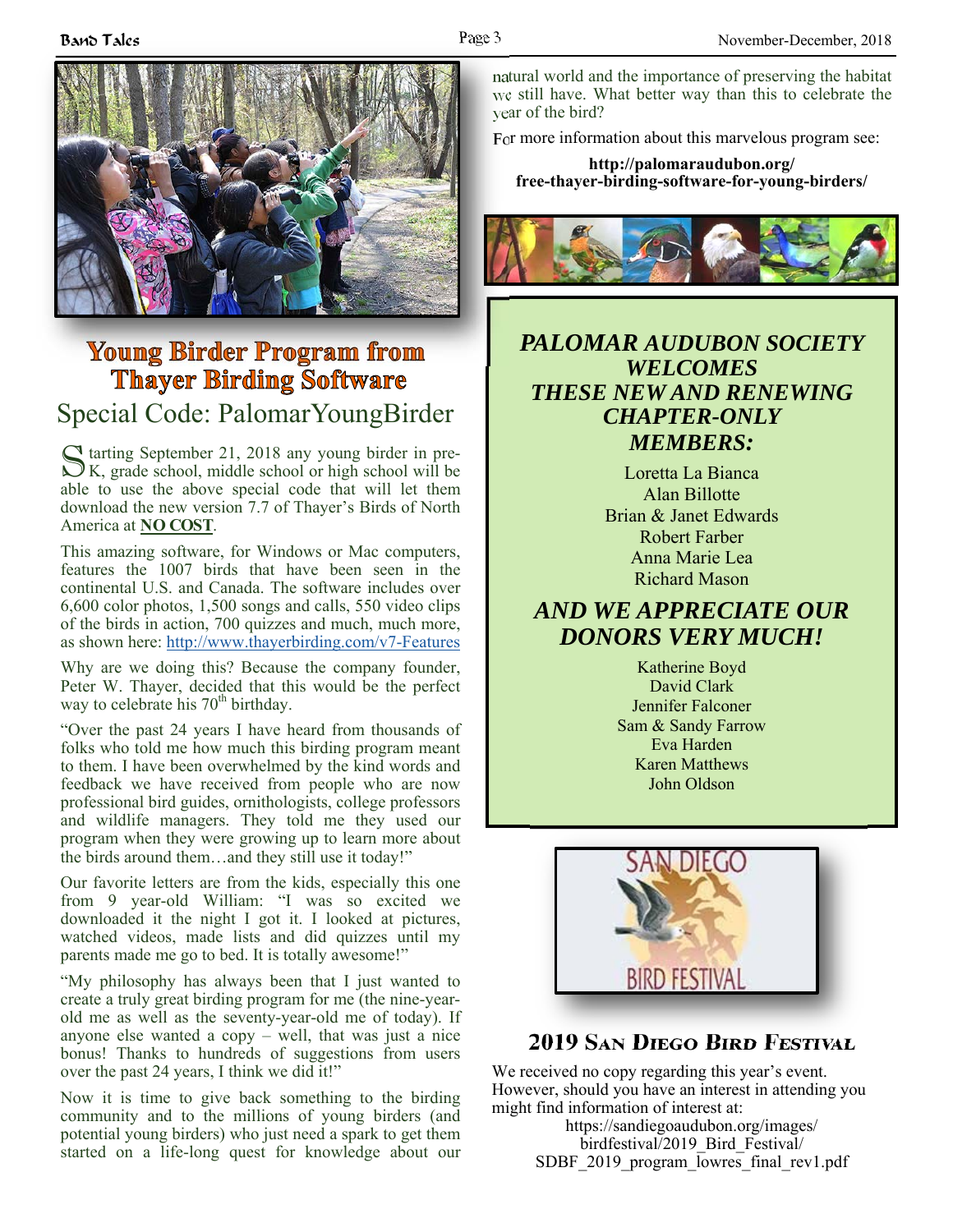

# **Young Birder Program from Thayer Birding Software**

# Special Code: PalomarYoungBirder

S tarting September 21, 2018 any young birder in pre-<br>MK, grade school, middle school or high school will be able to use the above special code that will let them download the new version 7.7 of Thayer's Birds of North America at **NO COST**.

This amazing software, for Windows or Mac computers, features the 1007 birds that have been seen in the continental U.S. and Canada. The software includes over 6,600 color photos, 1,500 songs and calls, 550 video clips of the birds in action, 700 quizzes and much, much more, as shown here: http://www.thayerbirding.com/v7-Features

Why are we doing this? Because the company founder, Peter W. Thayer, decided that this would be the perfect way to celebrate his  $70<sup>th</sup>$  birthday.

"Over the past 24 years I have heard from thousands of folks who told me how much this birding program meant to them. I have been overwhelmed by the kind words and feedback we have received from people who are now professional bird guides, ornithologists, college professors and wildlife managers. They told me they used our program when they were growing up to learn more about the birds around them…and they still use it today!"

Our favorite letters are from the kids, especially this one from 9 year-old William: "I was so excited we downloaded it the night I got it. I looked at pictures, watched videos, made lists and did quizzes until my parents made me go to bed. It is totally awesome!"

"My philosophy has always been that I just wanted to create a truly great birding program for me (the nine-yearold me as well as the seventy-year-old me of today). If anyone else wanted a copy – well, that was just a nice bonus! Thanks to hundreds of suggestions from users over the past 24 years, I think we did it!"

Now it is time to give back something to the birding community and to the millions of young birders (and potential young birders) who just need a spark to get them started on a life-long quest for knowledge about our natural world and the importance of preserving the habitat we still have. What better way than this to celebrate the year of the bird?

For more information about this marvelous program see:

**http://palomaraudubon.org/ free-thayer-birding-software-for-young-birders/** 



## *PALOMAR AUDUBON SOCIETY WELCOMES THESE NEW AND RENEWING CHAPTER-ONLY MEMBERS:*

Loretta La Bianca Alan Billotte Brian & Janet Edwards Robert Farber Anna Marie Lea Richard Mason

## *AND WE APPRECIATE OUR DONORS VERY MUCH!*

Katherine Boyd David Clark Jennifer Falconer Sam & Sandy Farrow Eva Harden Karen Matthews John Oldson



# **2019 SAN DIEGO BIRD FESTIVAL**

We received no copy regarding this year's event. However, should you have an interest in attending you might find information of interest at:

> https://sandiegoaudubon.org/images/ birdfestival/2019\_Bird\_Festival/ SDBF 2019 program lowres final rev1.pdf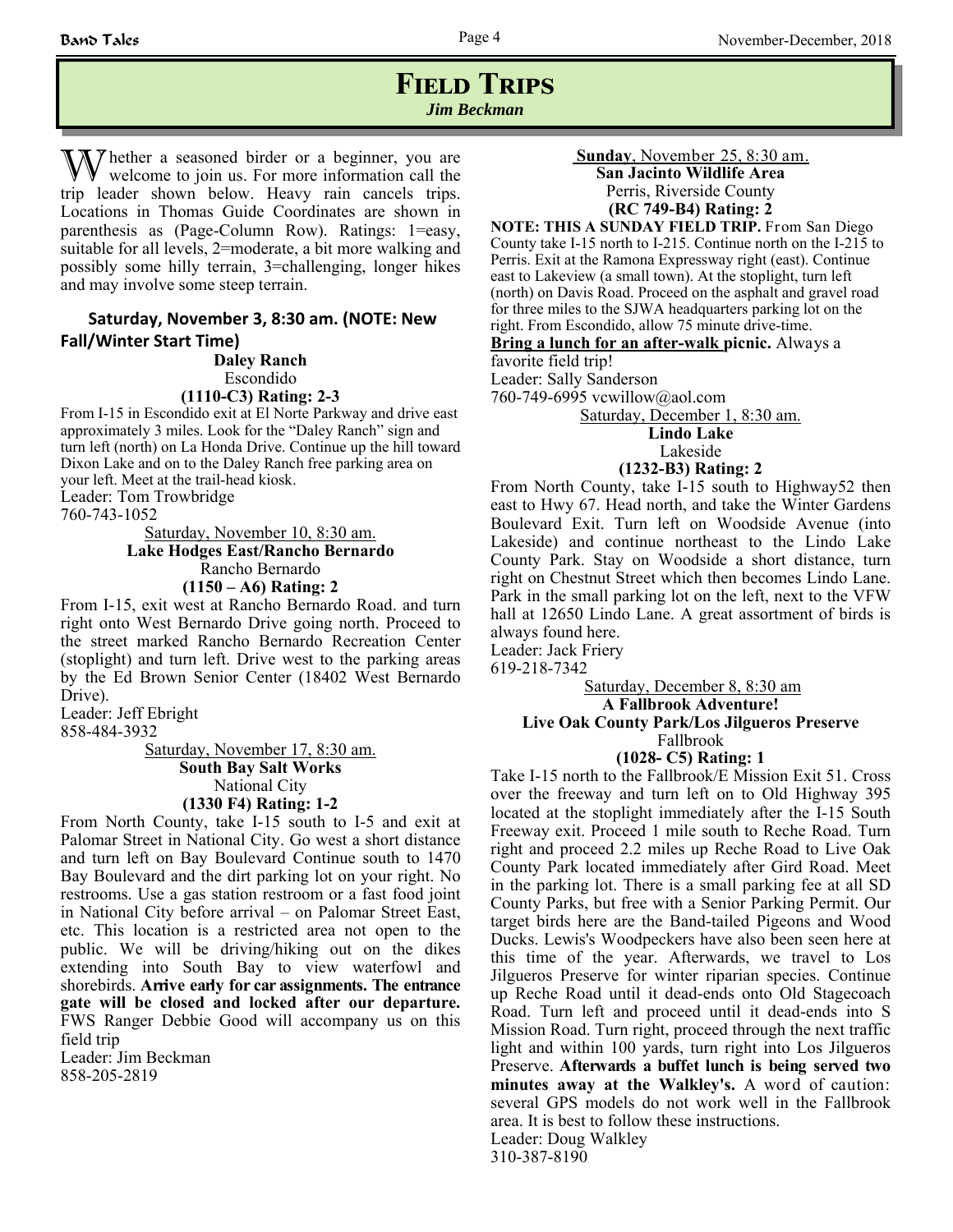## **FIELD TRIPS** *Jim Beckman*

The ther a seasoned birder or a beginner, you are welcome to join us. For more information call the trip leader shown below. Heavy rain cancels trips. Locations in Thomas Guide Coordinates are shown in parenthesis as (Page-Column Row). Ratings: 1=easy, suitable for all levels, 2=moderate, a bit more walking and possibly some hilly terrain, 3=challenging, longer hikes and may involve some steep terrain.

## **Saturday, November 3, 8:30 am. (NOTE: New Fall/Winter Start Time)**

**Daley Ranch** Escondido

#### **(1110-C3) Rating: 2-3**

From I-15 in Escondido exit at El Norte Parkway and drive east approximately 3 miles. Look for the "Daley Ranch" sign and turn left (north) on La Honda Drive. Continue up the hill toward Dixon Lake and on to the Daley Ranch free parking area on your left. Meet at the trail-head kiosk. Leader: Tom Trowbridge

760-743-1052

Saturday, November 10, 8:30 am. **Lake Hodges East/Rancho Bernardo** Rancho Bernardo **(1150 – A6) Rating: 2**

From I-15, exit west at Rancho Bernardo Road. and turn right onto West Bernardo Drive going north. Proceed to the street marked Rancho Bernardo Recreation Center (stoplight) and turn left. Drive west to the parking areas by the Ed Brown Senior Center (18402 West Bernardo Drive).

Leader: Jeff Ebright

858-484-3932

Saturday, November 17, 8:30 am. **South Bay Salt Works**  National City **(1330 F4) Rating: 1-2**

From North County, take I-15 south to I-5 and exit at Palomar Street in National City. Go west a short distance and turn left on Bay Boulevard Continue south to 1470 Bay Boulevard and the dirt parking lot on your right. No restrooms. Use a gas station restroom or a fast food joint in National City before arrival – on Palomar Street East, etc. This location is a restricted area not open to the public. We will be driving/hiking out on the dikes extending into South Bay to view waterfowl and shorebirds. **Arrive early for car assignments. The entrance gate will be closed and locked after our departure.**  FWS Ranger Debbie Good will accompany us on this field trip

Leader: Jim Beckman 858-205-2819

## **Sunday**, November 25, 8:30 am. **San Jacinto Wildlife Area** Perris, Riverside County **(RC 749-B4) Rating: 2**

**NOTE: THIS A SUNDAY FIELD TRIP.** From San Diego County take I-15 north to I-215. Continue north on the I-215 to Perris. Exit at the Ramona Expressway right (east). Continue east to Lakeview (a small town). At the stoplight, turn left (north) on Davis Road. Proceed on the asphalt and gravel road for three miles to the SJWA headquarters parking lot on the right. From Escondido, allow 75 minute drive-time.

**Bring a lunch for an after-walk picnic.** Always a

favorite field trip! Leader: Sally Sanderson

760-749-6995 vcwillow@aol.com

Saturday, December 1, 8:30 am.

**Lindo Lake**

Lakeside

### **(1232-B3) Rating: 2**

From North County, take I-15 south to Highway52 then east to Hwy 67. Head north, and take the Winter Gardens Boulevard Exit. Turn left on Woodside Avenue (into Lakeside) and continue northeast to the Lindo Lake County Park. Stay on Woodside a short distance, turn right on Chestnut Street which then becomes Lindo Lane. Park in the small parking lot on the left, next to the VFW hall at 12650 Lindo Lane. A great assortment of birds is always found here.

Leader: Jack Friery

619-218-7342

 Saturday, December 8, 8:30 am **A Fallbrook Adventure! Live Oak County Park/Los Jilgueros Preserve**  Fallbrook

### **(1028- C5) Rating: 1**

Take I-15 north to the Fallbrook/E Mission Exit 51. Cross over the freeway and turn left on to Old Highway 395 located at the stoplight immediately after the I-15 South Freeway exit. Proceed 1 mile south to Reche Road. Turn right and proceed 2.2 miles up Reche Road to Live Oak County Park located immediately after Gird Road. Meet in the parking lot. There is a small parking fee at all SD County Parks, but free with a Senior Parking Permit. Our target birds here are the Band-tailed Pigeons and Wood Ducks. Lewis's Woodpeckers have also been seen here at this time of the year. Afterwards, we travel to Los Jilgueros Preserve for winter riparian species. Continue up Reche Road until it dead-ends onto Old Stagecoach Road. Turn left and proceed until it dead-ends into S Mission Road. Turn right, proceed through the next traffic light and within 100 yards, turn right into Los Jilgueros Preserve. **Afterwards a buffet lunch is being served two minutes away at the Walkley's.** A word of caution: several GPS models do not work well in the Fallbrook area. It is best to follow these instructions. Leader: Doug Walkley

310-387-8190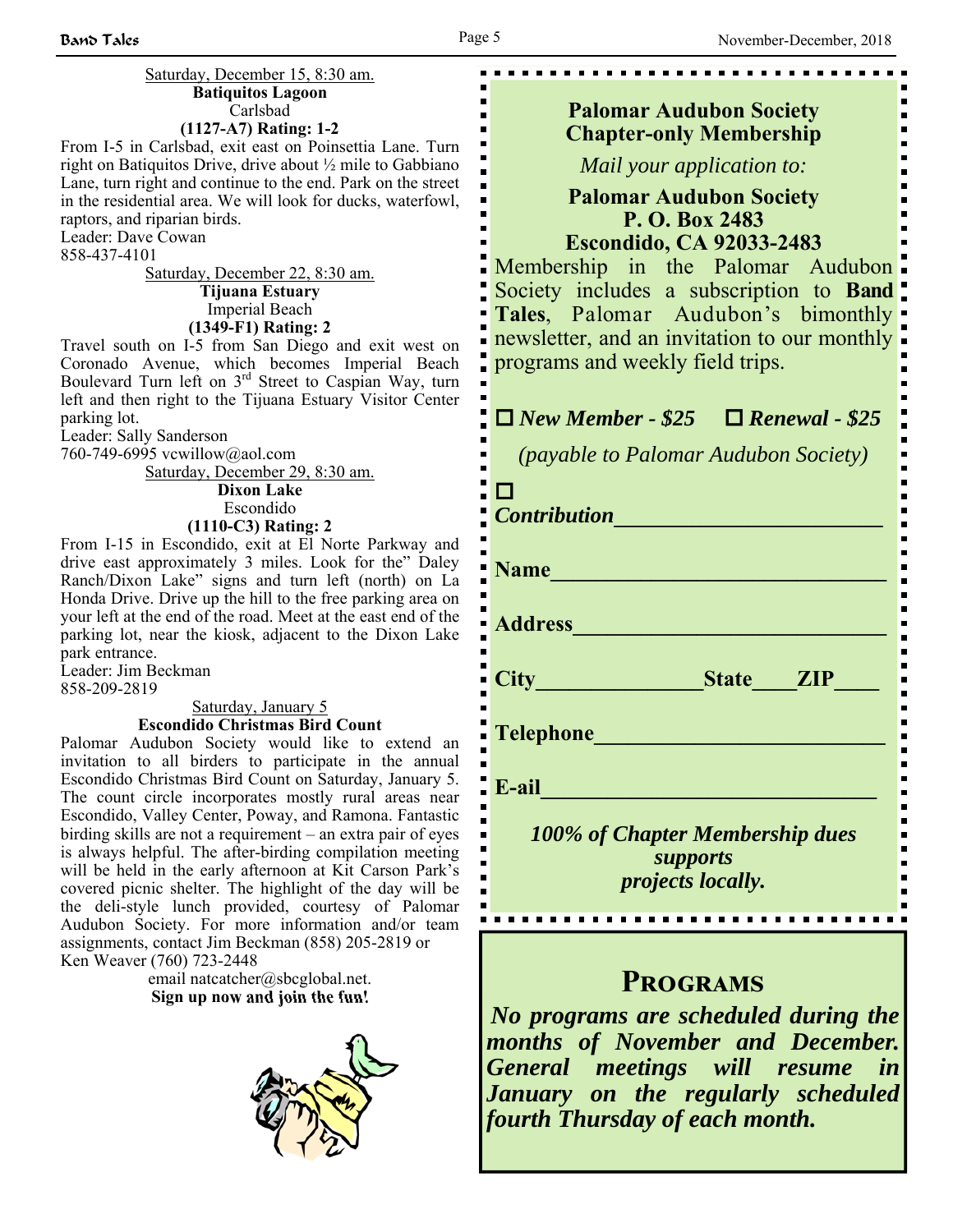$\blacksquare$ 

 $\blacksquare$ 

. . . . . . .

#### Saturday, December 15, 8:30 am. **Batiquitos Lagoon** Carlsbad **(1127-A7) Rating: 1-2**

From I-5 in Carlsbad, exit east on Poinsettia Lane. Turn right on Batiquitos Drive, drive about ½ mile to Gabbiano Lane, turn right and continue to the end. Park on the street in the residential area. We will look for ducks, waterfowl, raptors, and riparian birds.

Leader: Dave Cowan

858-437-4101

Saturday, December 22, 8:30 am. **Tijuana Estuary** Imperial Beach **(1349-F1) Rating: 2**

Travel south on I-5 from San Diego and exit west on Coronado Avenue, which becomes Imperial Beach Boulevard Turn left on  $3^{rd}$  Street to Caspian Way, turn left and then right to the Tijuana Estuary Visitor Center parking lot.

Leader: Sally Sanderson

760-749-6995 vcwillow@aol.com

Saturday, December 29, 8:30 am. **Dixon Lake**

Escondido **(1110-C3) Rating: 2**

From I-15 in Escondido, exit at El Norte Parkway and drive east approximately 3 miles. Look for the" Daley Ranch/Dixon Lake" signs and turn left (north) on La Honda Drive. Drive up the hill to the free parking area on your left at the end of the road. Meet at the east end of the parking lot, near the kiosk, adjacent to the Dixon Lake park entrance.

Leader: Jim Beckman

858-209-2819

#### Saturday, January 5 **Escondido Christmas Bird Count**

Palomar Audubon Society would like to extend an invitation to all birders to participate in the annual Escondido Christmas Bird Count on Saturday, January 5. The count circle incorporates mostly rural areas near Escondido, Valley Center, Poway, and Ramona. Fantastic birding skills are not a requirement – an extra pair of eyes is always helpful. The after-birding compilation meeting will be held in the early afternoon at Kit Carson Park's covered picnic shelter. The highlight of the day will be the deli-style lunch provided, courtesy of Palomar Audubon Society. For more information and/or team assignments, contact Jim Beckman (858) 205-2819 or Ken Weaver (760) 723-2448

> email natcatcher@sbcglobal.net. **Sign up now and join the fun!**



## **Palomar Audubon Society Chapter-only Membership**

*Mail your application to:* 

## **Palomar Audubon Society P. O. Box 2483 Escondido, CA 92033-2483**

Membership in the Palomar Audubon Society includes a subscription to **Band Tales**, Palomar Audubon's bimonthly newsletter, and an invitation to our monthly programs and weekly field trips.

## *New Member - \$25 Renewal - \$25*

*(payable to Palomar Audubon Society)* 

| <b>Contribution</b>                                                     |  |  |
|-------------------------------------------------------------------------|--|--|
| <b>Name</b>                                                             |  |  |
| <b>Address</b>                                                          |  |  |
| State <b>ZIP</b><br>City                                                |  |  |
| Telephone                                                               |  |  |
| E-ail                                                                   |  |  |
| 100% of Chapter Membership dues<br>supports<br><i>projects locally.</i> |  |  |
|                                                                         |  |  |

## **PROGRAMS**

*No programs are scheduled during the months of November and December. General meetings will resume in January on the regularly scheduled fourth Thursday of each month.*